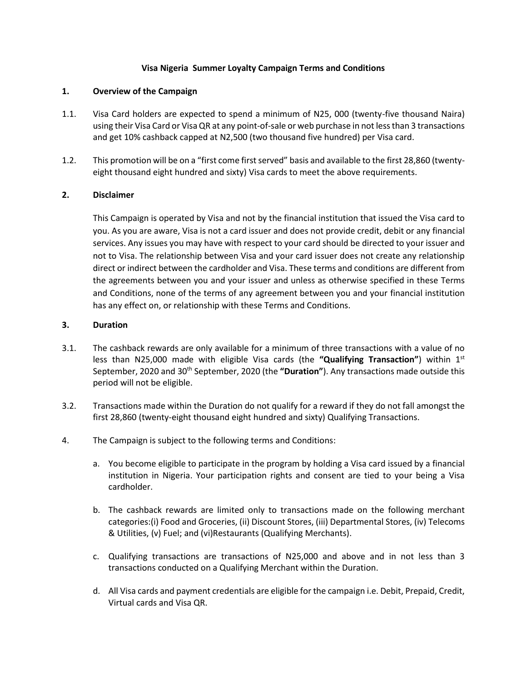## **Visa Nigeria Summer Loyalty Campaign Terms and Conditions**

## **1. Overview of the Campaign**

- 1.1. Visa Card holders are expected to spend a minimum of N25, 000 (twenty-five thousand Naira) using their Visa Card or Visa QR at any point-of-sale or web purchase in not less than 3 transactions and get 10% cashback capped at N2,500 (two thousand five hundred) per Visa card.
- 1.2. This promotion will be on a "first come first served" basis and available to the first 28,860 (twentyeight thousand eight hundred and sixty) Visa cards to meet the above requirements.

## **2. Disclaimer**

This Campaign is operated by Visa and not by the financial institution that issued the Visa card to you. As you are aware, Visa is not a card issuer and does not provide credit, debit or any financial services. Any issues you may have with respect to your card should be directed to your issuer and not to Visa. The relationship between Visa and your card issuer does not create any relationship direct or indirect between the cardholder and Visa. These terms and conditions are different from the agreements between you and your issuer and unless as otherwise specified in these Terms and Conditions, none of the terms of any agreement between you and your financial institution has any effect on, or relationship with these Terms and Conditions.

## **3. Duration**

- 3.1. The cashback rewards are only available for a minimum of three transactions with a value of no less than N25,000 made with eligible Visa cards (the **"Qualifying Transaction"**) within 1 st September, 2020 and 30th September, 2020 (the **"Duration"**). Any transactions made outside this period will not be eligible.
- 3.2. Transactions made within the Duration do not qualify for a reward if they do not fall amongst the first 28,860 (twenty-eight thousand eight hundred and sixty) Qualifying Transactions.
- 4. The Campaign is subject to the following terms and Conditions:
	- a. You become eligible to participate in the program by holding a Visa card issued by a financial institution in Nigeria. Your participation rights and consent are tied to your being a Visa cardholder.
	- b. The cashback rewards are limited only to transactions made on the following merchant categories:(i) Food and Groceries, (ii) Discount Stores, (iii) Departmental Stores, (iv) Telecoms & Utilities, (v) Fuel; and (vi)Restaurants (Qualifying Merchants).
	- c. Qualifying transactions are transactions of N25,000 and above and in not less than 3 transactions conducted on a Qualifying Merchant within the Duration.
	- d. All Visa cards and payment credentials are eligible for the campaign i.e. Debit, Prepaid, Credit, Virtual cards and Visa QR.